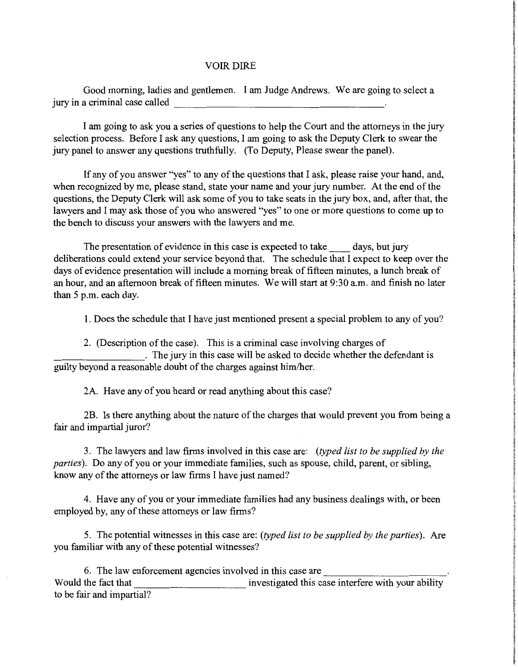## VOIR DIRE

Good morning, ladies and gentlemen. I am Judge Andrews. We are going to select a jury in a criminal case called  $\blacksquare$ 

I am going to ask you a series of questions to help the Court and the attorneys in the jury selection process. Before I ask any questions, I am going to ask the Deputy Clerk to swear the jury panel to answer any questions truthfully. (To Deputy, Please swear the panel).

If any of you answer "yes" to any of the questions that I ask, please raise your hand, and, when recognized by me, please stand, state your name and your jury number. At the end of the questions, the Deputy Clerk will ask some of you to take seats in the jury box, and, after that, the lawyers and I may ask those of you who answered "yes" to one or more questions to come up to the bench to discuss your answers with the lawyers and me.

The presentation of evidence in this case is expected to take days, but jury deliberations could extend your service beyond that. The schedule that I expect to keep over the days of evidence presentation will include a morning break of fifteen minutes, a lunch break of an hour, and an afternoon break of fifteen minutes. We will start at 9:30 a.m. and finish no later than 5 p.m. each day.

1. Does the schedule that I have just mentioned present a special problem to any of you?

2. (Description of the case). This is a criminal case involving charges of . The jury in this case will be asked to decide whether the defendant is guilty beyond a reasonable doubt of the charges against him/her.

2A. Have any of you heard or read anything about this case?

2B. Is there anything about the nature of the charges that would prevent you from being a fair and impartial juror?

3. The lawyers and law firms involved in this case are: *(typed list to be supplied by the parties).* Do any of you or your immediate families, such as spouse, child, parent, or sibling, know any of the attorneys or law firms I have just named?

4. Have any of you or your immediate families had any business dealings with, or been employed by, any of these attorneys or law firms?

5. The potential witnesses in this case are: *(typed list to be supplied by the parties).* Are you familiar with any of these potential witnesses?

6. The law enforcement agencies involved in this case are  $\blacksquare$ <br>Would the fact that investigated this case interfere with your ability to be fair and impartial?